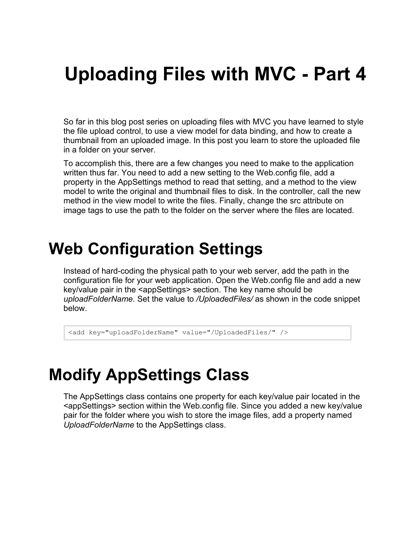# **Uploading Files with MVC - Part 4**

So far in this blog post series on uploading files with MVC you have learned to style the file upload control, to use a view model for data binding, and how to create a thumbnail from an uploaded image. In this post you learn to store the uploaded file in a folder on your server.

To accomplish this, there are a few changes you need to make to the application written thus far. You need to add a new setting to the Web.config file, add a property in the AppSettings method to read that setting, and a method to the view model to write the original and thumbnail files to disk. In the controller, call the new method in the view model to write the files. Finally, change the src attribute on image tags to use the path to the folder on the server where the files are located.

### **Web Configuration Settings**

Instead of hard-coding the physical path to your web server, add the path in the configuration file for your web application. Open the Web.config file and add a new key/value pair in the <appSettings> section. The key name should be *uploadFolderName*. Set the value to */UploadedFiles/* as shown in the code snippet below.

```
<add key="uploadFolderName" value="/UploadedFiles/" />
```
### **Modify AppSettings Class**

The AppSettings class contains one property for each key/value pair located in the <appSettings> section within the Web.config file. Since you added a new key/value pair for the folder where you wish to store the image files, add a property named *UploadFolderName* to the AppSettings class.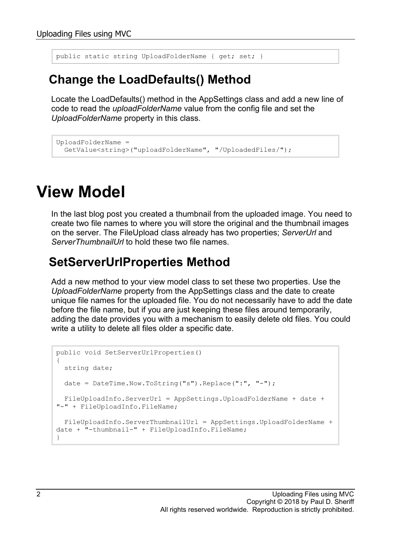public static string UploadFolderName { get; set; }

#### **Change the LoadDefaults() Method**

Locate the LoadDefaults() method in the AppSettings class and add a new line of code to read the *uploadFolderName* value from the config file and set the *UploadFolderName* property in this class.

```
UploadFolderName = 
  GetValue<string>("uploadFolderName", "/UploadedFiles/");
```
### **View Model**

In the last blog post you created a thumbnail from the uploaded image. You need to create two file names to where you will store the original and the thumbnail images on the server. The FileUpload class already has two properties; *ServerUrl* and *ServerThumbnailUrl* to hold these two file names.

#### **SetServerUrlProperties Method**

Add a new method to your view model class to set these two properties. Use the *UploadFolderName* property from the AppSettings class and the date to create unique file names for the uploaded file. You do not necessarily have to add the date before the file name, but if you are just keeping these files around temporarily, adding the date provides you with a mechanism to easily delete old files. You could write a utility to delete all files older a specific date.

```
public void SetServerUrlProperties()
{
  string date;
  date = DateTime.Now.ToString("s").Replace(":", "-");
  FileUploadInfo.ServerUrl = AppSettings.UploadFolderName + date + 
"-" + FileUploadInfo.FileName;
  FileUploadInfo.ServerThumbnailUrl = AppSettings.UploadFolderName + 
date + "-thumbnail-" + FileUploadInfo.FileName;
}
```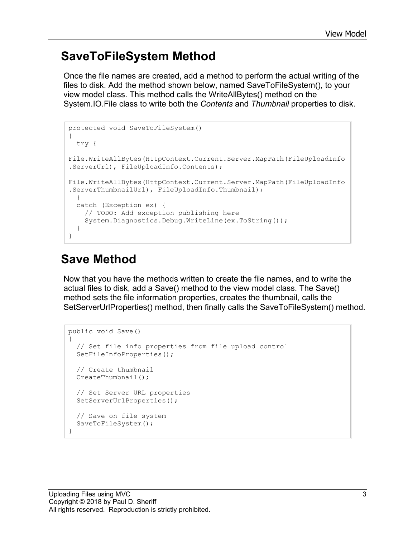#### **SaveToFileSystem Method**

Once the file names are created, add a method to perform the actual writing of the files to disk. Add the method shown below, named SaveToFileSystem(), to your view model class. This method calls the WriteAllBytes() method on the System.IO.File class to write both the *Contents* and *Thumbnail* properties to disk.

```
protected void SaveToFileSystem()
{
  try {
File.WriteAllBytes(HttpContext.Current.Server.MapPath(FileUploadInfo
.ServerUrl), FileUploadInfo.Contents);
File.WriteAllBytes(HttpContext.Current.Server.MapPath(FileUploadInfo
.ServerThumbnailUrl), FileUploadInfo.Thumbnail);
   }
  catch (Exception ex) {
     // TODO: Add exception publishing here
     System.Diagnostics.Debug.WriteLine(ex.ToString());
   }
}
```
#### **Save Method**

Now that you have the methods written to create the file names, and to write the actual files to disk, add a Save() method to the view model class. The Save() method sets the file information properties, creates the thumbnail, calls the SetServerUrlProperties() method, then finally calls the SaveToFileSystem() method.

```
public void Save()
{
   // Set file info properties from file upload control
  SetFileInfoProperties();
   // Create thumbnail
  CreateThumbnail();
   // Set Server URL properties
  SetServerUrlProperties();
   // Save on file system
  SaveToFileSystem();
}
```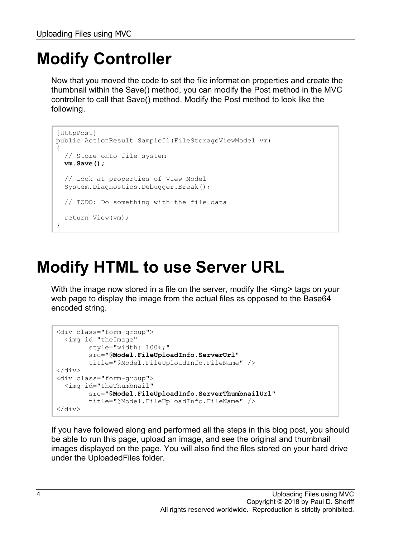## **Modify Controller**

Now that you moved the code to set the file information properties and create the thumbnail within the Save() method, you can modify the Post method in the MVC controller to call that Save() method. Modify the Post method to look like the following.

```
[HttpPost]
public ActionResult Sample01(FileStorageViewModel vm)
{ 
   // Store onto file system
  vm.Save();
   // Look at properties of View Model
   System.Diagnostics.Debugger.Break();
   // TODO: Do something with the file data
  return View(vm);
}
```
## **Modify HTML to use Server URL**

With the image now stored in a file on the server, modify the  $\leq$ img> tags on your web page to display the image from the actual files as opposed to the Base64 encoded string.

```
<div class="form-group">
   <img id="theImage"
         style="width: 100%;"
         src="@Model.FileUploadInfo.ServerUrl"
         title="@Model.FileUploadInfo.FileName" />
\langle/div\rangle<div class="form-group">
   <img id="theThumbnail"
         src="@Model.FileUploadInfo.ServerThumbnailUrl"
         title="@Model.FileUploadInfo.FileName" />
</div>
```
If you have followed along and performed all the steps in this blog post, you should be able to run this page, upload an image, and see the original and thumbnail images displayed on the page. You will also find the files stored on your hard drive under the UploadedFiles folder.